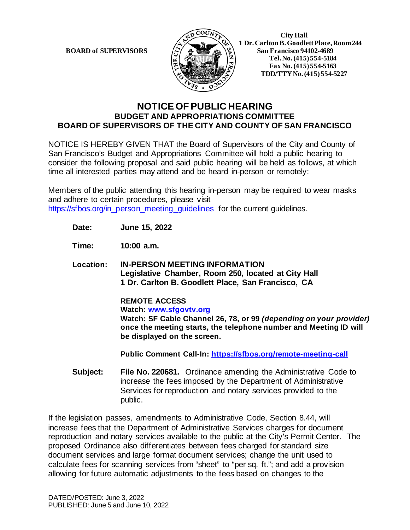

 **1 Dr. Carlton B. Goodlett Place, Room 244 BOARD of SUPERVISORS**  $\left|\frac{S}{4}\right|$   $\mathbb{R}$   $\mathbb{R}$   $\mathbb{R}$  San Francisco 94102-4689  **Tel.No. (415) 554-5184 Fax No. (415) 554-5163 TDD/TTY No. (415) 554-5227**

## **NOTICE OF PUBLIC HEARING BUDGET AND APPROPRIATIONS COMMITTEE BOARD OF SUPERVISORS OF THE CITY AND COUNTY OF SAN FRANCISCO**

NOTICE IS HEREBY GIVEN THAT the Board of Supervisors of the City and County of San Francisco's Budget and Appropriations Committee will hold a public hearing to consider the following proposal and said public hearing will be held as follows, at which time all interested parties may attend and be heard in-person or remotely:

Members of the public attending this hearing in-person may be required to wear masks and adhere to certain procedures, please visit [https://sfbos.org/in\\_person\\_meeting\\_guidelines](https://sfbos.org/in_person_meeting_guidelines) for the current guidelines.

**Date: June 15, 2022**

**Time: 10:00 a.m.**

**Location: IN-PERSON MEETING INFORMATION Legislative Chamber, Room 250, located at City Hall 1 Dr. Carlton B. Goodlett Place, San Francisco, CA**

> **REMOTE ACCESS Watch: [www.sfgovtv.org](http://www.sfgovtv.org/) Watch: SF Cable Channel 26, 78, or 99** *(depending on your provider)*  **once the meeting starts, the telephone number and Meeting ID will be displayed on the screen.**

**Public Comment Call-In:<https://sfbos.org/remote-meeting-call>**

**Subject: File No. 220681.** Ordinance amending the Administrative Code to increase the fees imposed by the Department of Administrative Services for reproduction and notary services provided to the public.

If the legislation passes, amendments to Administrative Code, Section 8.44, will increase fees that the Department of Administrative Services charges for document reproduction and notary services available to the public at the City's Permit Center. The proposed Ordinance also differentiates between fees charged for standard size document services and large format document services; change the unit used to calculate fees for scanning services from "sheet" to "per sq. ft."; and add a provision allowing for future automatic adjustments to the fees based on changes to the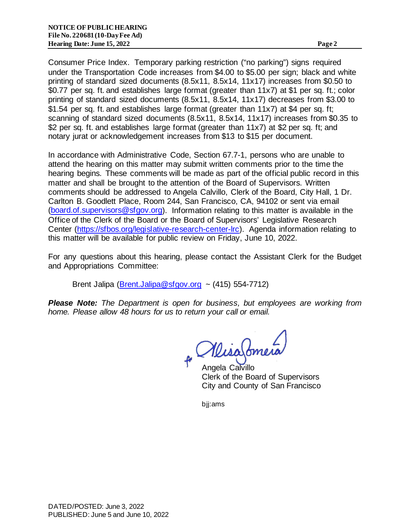Consumer Price Index. Temporary parking restriction ("no parking") signs required under the Transportation Code increases from \$4.00 to \$5.00 per sign; black and white printing of standard sized documents (8.5x11, 8.5x14, 11x17) increases from \$0.50 to \$0.77 per sq. ft. and establishes large format (greater than 11x7) at \$1 per sq. ft.; color printing of standard sized documents (8.5x11, 8.5x14, 11x17) decreases from \$3.00 to \$1.54 per sq. ft. and establishes large format (greater than 11x7) at \$4 per sq. ft; scanning of standard sized documents (8.5x11, 8.5x14, 11x17) increases from \$0.35 to \$2 per sq. ft. and establishes large format (greater than 11x7) at \$2 per sq. ft; and notary jurat or acknowledgement increases from \$13 to \$15 per document.

In accordance with Administrative Code, Section 67.7-1, persons who are unable to attend the hearing on this matter may submit written comments prior to the time the hearing begins. These comments will be made as part of the official public record in this matter and shall be brought to the attention of the Board of Supervisors. Written comments should be addressed to Angela Calvillo, Clerk of the Board, City Hall, 1 Dr. Carlton B. Goodlett Place, Room 244, San Francisco, CA, 94102 or sent via email [\(board.of.supervisors@sfgov.org\).](mailto:board.of.supervisors@sfgov.org) Information relating to this matter is available in the Office of the Clerk of the Board or the Board of Supervisors' Legislative Research Center [\(https://sfbos.org/legislative-research-center-lrc\).](https://sfbos.org/legislative-research-center-lrc) Agenda information relating to this matter will be available for public review on Friday, June 10, 2022.

For any questions about this hearing, please contact the Assistant Clerk for the Budget and Appropriations Committee:

Brent Jalipa [\(Brent.Jalipa@sfgov.org](mailto:brent.jalipa@sfgov.org) ~  $(415)$  554-7712)

*Please Note: The Department is open for business, but employees are working from home. Please allow 48 hours for us to return your call or email.* 

MisaSome

Angela Calvillo Clerk of the Board of Supervisors City and County of San Francisco

bjj:ams